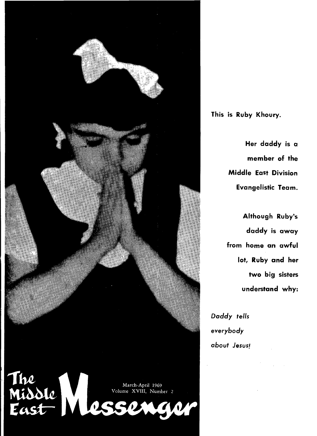

**This is Ruby Khoury.** 

**Her daddy is a member of the Middle East Division Evangelistic Team.** 

**Although Ruby's daddy is away from home an awful lot, Ruby and her two big sisters understand why:** 

*Daddy tells everybody about Jesus!*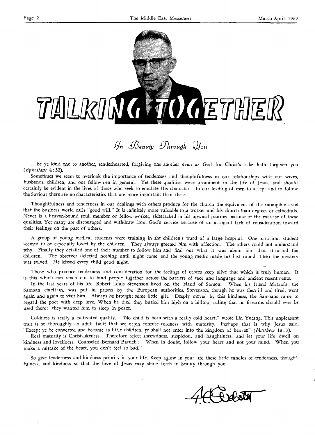

 $\mathscr{G}_n$  Beauty *Through*  $\mathscr{Q}_{\text{out}}$ 

... be ye kind one to another, tenderhearted, forgiving one another even as God for Christ's sake hath forgiven you *(Ephesians* 4:32).

Sometimes we seem to overlook the importance of tenderness and thoughtfulness in our relationships with our wives, husbands, children, and our fellowmen in general.. Yet these qualities were prominent in the life of Jesus, and should certainly be evident in the lives of those who seek to emulate His character. In our leading of men to accept and to follow the Saviour there are no characteristics that ate more important than these.

Thoughtfulness and tenderness in our dealings with others produce for the church the equivalent of the intangible asset that the business world calls "good will." It is infinitely *more* valuable to ,a worker and his church than degrees or cathedrals. Never is a heaven-bound soul, member or fellow-worker, sidetracked in his upward journey because of the exercise of these qualities. Yet many are discouraged and withdraw from God's service because of an arrogant lack of consideration toward their feelings on the part of others.

A group of young medical students were training in the children's ward of a large hospital. One particular student seemed to be especially loved by the children. They always greeted him with affection. The others could not understand why. Finally they detailed one of their number to follow him and find out what it was about him that attracted the children. The observer detected nothing until night came and the young medic made his last round. Then the mystery was solved. He kissed every child good night.

Those who practice tenderness and consideration for the feelings of others keep alive that which is truly human. It is this which can reach out to bind people together across the barriers of race and language and ancient resentments.

In the last years of his life, Robert Louis Stevenson lived on the island of Samoa. When his friend Mataafa, the Samoan chieftain, was put in prison by the European authorities, Stevenson, though he was then ill and tired, went again and again to visit him. Always he brought some little gift. Deeply moved by this kindness, the Samoans came to regard the poet with deep love. When he died they buried him high on a hilltop, ruling that no firearms should ever be used there: they wanted him to sleep in peace.

Coldness is really a cultivated quality. "No child is born with a really cold heart," wrote Lin Yutang. This unpleasant trait is so thoroughly an adult fault that we often confuse coldness with maturity. Perhaps that is why Jesus said, "Except ye be converted and become as little children, ye shall not enter into the kingdom of heaven" *(Matthew* 18 : 3).

Real maturity is Christ-likeness. Therefore reject shrewdness, suspicion, and haughtiness, and let your life dwell on kindness ,and loveliness. Counseled Bernard Baruch : "When in doubt, follow your heart and not your mind. When you make a mistake of the heart, you don't feel so bad."

So give tenderness and kindness priority in your life. Keep aglow in your life these little candles of tenderness, thoughtfulness, and kindness so that the love of Jesus may shine forth in beauty through you.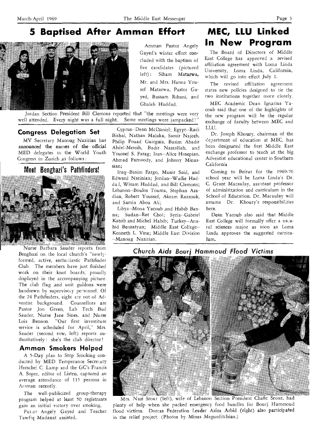# **5 Baptised After Amman Effort**



Jordan Section President Bill Clemons reported that "the meetings were very well attended. Every night was a full night. Some meetings were jampacked!'

# **Congress Delegation Set**

MV Secretary Manoug Nazirian has announced the names of the official MED delegates to the World Youth Congress in Zurich as follows :

# Meet Benghazi's Pathfinders!



. " Nurse Barbara Sauder reports from Benghazi on the local church's "newlyformed, active, enthusiastic Pathfinder Club. The members have just finished work on their knot boards, proudly displayed in the accompanying picture. The club flag and unit guidons were handsewn by supervisory personnel. Of the 24 Pathfinders, eight are not of Adventist background. Counsellors are Pastor Jon Green, Lab Tech Bud Sauder, Nurse Jane Sines, and Nurse Lois Benson. "Our first investiture service is scheduled for April," Mrs. Sauder (second row, left) reports authoritatively : she's the club director!

# **Amman Smokers Helped**

A 5-Day plan to Stop Smoking conducted by MED Temperance Secretary Herschel C. Lamp and the GC's Francis A. Soper, editor of Listen, captured an average attendance of 115 persons in Araman recently.

The well-publicized group-therapy program helped at least 50 registrants gain an initial victory over smoking.

Pas-or Angely Gayed and Teacher Tawfiq Madanat assisted.

Amman Pastor Angely Gayed's winter effort concluded with the baptism of five candidates (pictured left): Siham Matarwa, Mr. and Mrs. Hanna. Yousef Matarwa, Pastor Gayed, Bassam Rihani, and Ghaleb Haddad.

Cyprus--Dean McDaniel; Egypt--Radi Bishai, Nathan Malaka, Samir Najeeb, Philip Fouad Guirguis, Basim Abadir Abdel-Messih, Badir Nasr,allah, and Youssef S. Farag; Iran--Alice Hosepian, Ahmad Farnoody, and Johnny Minassian;

Iraq--Basim Fargo, Munir Said, and Edward Narinian; Jordan--Wadie Haddad, Wisam Haddad, and Bill Clemons; Lebanon--Boulos Touma, Stephan Azadian, Robert Youssef, Akram Razzouk, and Samia Abou Ali:

Libya--Mona Yacoub ,and Habib Banna; Sudan--Ret Chol; Syria--Gabriel Katrib and Michel Habib; Turkey--Anahid Benzatyan; Middle East College-- Kenneth L. Vine; Middle East Division --Manoug Nazirian.

# **MEC, LLU Linked In New Program**

The Board of Directors of Middle East College has approved a revised affiliation agreement with Loma Linda University, Loma Linda, California, which will go into effect July 1.

The revised affiliation agreement states new policies designed to tie the two institutions together more closely.

MEC Academic Dean Ignatius Yacoub said that one of the highlights of the new program will be the regular exchange of faculty between MEC and LLU.

Dr. Joseph Khoury, chairman of the department of education at MEC, has been designated the first Middle East exchange professor to teach at the big Adventist educational center in Southern California

Coming to Beirut for the 1969-70 school year will be Loma Linda's Dr. C. Grant Macaulay, assistant professor of administration and curriculum in the School of Education. Dr. Macaulay will assume Dr. Khoury's responsibilities here.

Dean Yacoub also said that Middle East College will formally offer a na,ural sciences major as soon as Loma Linda approves the suggested curriculum.

# **Church Aids Bourj Hammoud Flood Victims**



Mrs. Nazi Srour (left), wife of Lebanon Section President Chafic Srour, had plenty of help when she packed emergency food bundles for Bourj Hammoud flood victims. Dorcas Federation Leader Aziza Arbid (right) also participated in the relief project. (Photos by Minas Megurditchian.)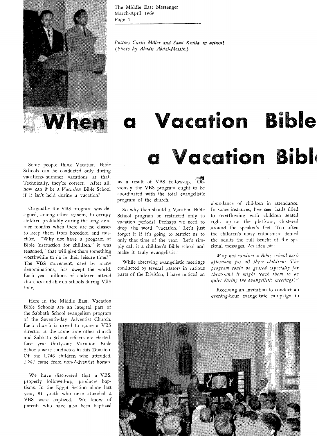When

The Middle East Messenger March-April 1969 Page 4

*Pastors Curtis Miller and Saad Khilla--in action! (Photo by Abadir Abdel-Messih.)* 

# **Vacation Bible a Vacation Bibl**

Some people think Vacation Bible Schools can be conducted only during vacations--summer vacations at that. Technically, they're correct. After all, how can it be a *Vacation* Bible School if it isn't held during *,a* vacation?

Originally the VBS program was designed, among other reasons, to occupy children profitably during the long summer months when there are no classes to keep them from boredom and mischief. "Why not have a program of Bible instruction for children," it was reasoned, "that will give them something worthwhile to do in their leisure time?" The VBS movement, used by many denominations, has swept the world. Each year millions of children attend churches and church schools during VBS time.

Here in the Middle East, Vacation Bible Schools are an integral part of the Sabbath School evangelism program of the Seventh-day Adventist Church. Each church is urged to name a VBS director at the same time other church and Sabbath School officers are elected. Last year thirty-one Vacation Bible Schools were conducted in this Division. Of the 1,746 children who attended, 1,247 came from non-Adventist homes.

We have discovered that a VBS, properly followed-up, produces baptisms. In the Egypt Section alone last year, 81 youth who once attended a VBS were baptized. We know of parents who have also been baptized

as a result of VBS follow-up. Obviously the VBS program ought to be coordinated with the total evangelistic program of the church.

So why then should a Vacation Bible School program be restricted only to vacation periods? Perhaps we need to drop the word "vacation." Let's just forget it if it's going to restrict us to only that time of the year. Let's simply call it a children's Bible school and make it truly evangelistic!

While observing evangelistic meetings conducted by several pastors in various parts of the Division, I have noticed an

abundance of children in attendance. In some instances, I've seen halls filled to overflowing with children seated right up en the platform, clustered around the speaker's feet. Too often the children's noisy enthusiasm denied the adults the full benefit of the spiritual messages. An idea hit :

*Why not conduct a Bible school each afternoon for all these children? The program could be geared especially for them--and it might teach them to be quiet during the evangelistic meetings!"* 

Receiving an invitation to conduct an evening-hour evangelistic campaign in

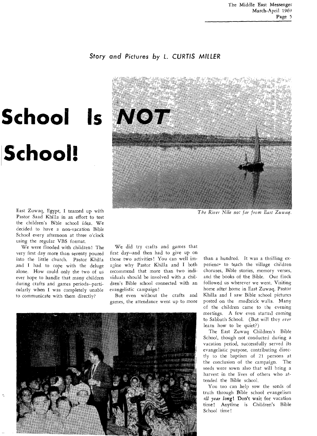# Story and Pictures by L. **CURTIS MILLER**



*The River Nile not far from East Zuwaq.* 

We did try crafts and games that first day--and then had to give up on those two activities! You can well imagine why Pastor Khilla and I both recommend that more than two individuals should be involved with ,a children's Bible school connected with an evangelistic campaign!

But even without the crafts and games, the attendance went up to more



than a hundred. It was a thrilling experience to teach the village children choruses, Bible stories, memory verses, and the books of the Bible. Our flock followed us wherever we went. Visiting home after home in East Zuwaq, Pastor Khilla and I saw Bible school pictures posted on the mudbrick walls. Many of the children came to the evening meetings. A few even started coming to Sabbath School. (But will they *ever*  learn how to be quiet?)

The East Zuwaq Children's Bible School, though not conducted during a vacation period, successfully served its evangelistic purpose, contributing directly to the baptism of 21 persons at the conclusion of the campaign. The seeds were sown also that will bring a harvest in the lives of others who attended the Bible school.

You too can help sow the seeds of truth through Bible school evangelism *all year long!* Don't wait for vacation time! Anytime is Children's Bible School time!

# **School!**

East Zuwaq, Egypt, I teamed up with Pastor Saad Khilla in an effort to test the children's Bible school idea. We decided to have a non-vacation Bible School every afternoon at three o'clock using the regular VBS format.

We were flooded with children! The very first day more than seventy poured into the little church. Pastor Khilla and I had to cope with the deluge alone. How could only the two of us ever hope to handle that many children during crafts and games periods--particularly when I was completely unable to communicate with them directly?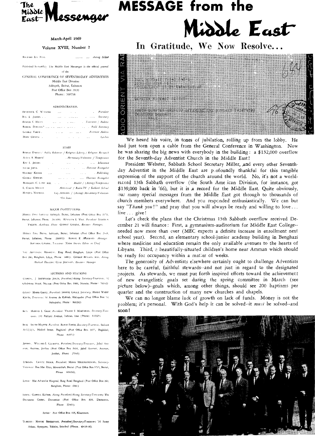

### March-April 1969

### Volume XVIII, Number 2

**811114AD 1.11** HNx ..... Artme adage

Published bi-montialy The Middle East Messenger is the official journal of the

GENERAL CONFERENCE OF SEVENTH-DAY ADVENTISTS Middle East Division

Sabbyeh, Beirut, Lebanon Post Office Box 2020 Phone: 260258

### ADMINISTRATION

| <b>FRUDERICK C. WILSTER</b>   | 1.111                         | <b>Contract Contract</b>                             | . Piesideni           |
|-------------------------------|-------------------------------|------------------------------------------------------|-----------------------|
| RAY L. JACOBS                 |                               | and the company                                      | .  Secretary          |
| ROBERT C. MHIS                | and the company of the second |                                                      | . Treasurer / Auditor |
| ROBERT DARNELL <sup>9</sup> . |                               |                                                      | . Field Secretary     |
| COORGE YARIS.                 | and and the                   | the company of the                                   | Astriant Addition     |
| MARY GHAZAL .                 |                               | and the company of the company of the company of the | Cashier               |

#### STAFF

| ROBERT DARNELL" Public Relations / Religions Liberty / Religions Research                                                                                                                                                                                          |  |  |  |
|--------------------------------------------------------------------------------------------------------------------------------------------------------------------------------------------------------------------------------------------------------------------|--|--|--|
| ASHS A HADDAD"<br>, Missionary Volunteer / Temperance                                                                                                                                                                                                              |  |  |  |
| and the contract of the contract of the contract of the contract of the contract of the contract of the contract of the contract of the contract of the contract of the contract of the contract of the contract of the contra<br>RAY L. JACOBS<br><b>Contract</b> |  |  |  |
| North Common Common Brangelist<br>SAFIM JAPAS<br>$\sim$                                                                                                                                                                                                            |  |  |  |
| MALRICE KATRIB<br><i>Alberta Community Community Community Community Publishing</i><br>$\ddotsc$                                                                                                                                                                   |  |  |  |
| GLORGE KHOURS<br>man and an annual Division Examgeber                                                                                                                                                                                                              |  |  |  |
| HIRSCHTL C. LAMP M.D. Health / (Acting) Temperance                                                                                                                                                                                                                 |  |  |  |
| L. CORTIS MITTER<br>Almistesial / Radio-TV / Sabbath School                                                                                                                                                                                                        |  |  |  |
| MANOUG NAZIRIAN<br>Lay Activities / (Acimg) Missionary Volunteer                                                                                                                                                                                                   |  |  |  |
| "On leave                                                                                                                                                                                                                                                          |  |  |  |

#### MAJOR INSTITUTIONS

Minn): FAST Colling Sahnych, Beirut, Lebanon (Post Othee Box 1170, Beirut, Lebanon; Phone 261109) Krssl in L. Visa. President<sup>e</sup> Ioxaric's YACOUB, Academic Dean Groscr GHAZ&1, Business Manager.

**01 1001 l'A'I** Piti so. Sabtlyeh, Beirut, Lebanon (Post Ofhce &n 2345. Betrut, Lebanon, Phone 260932) ROBIRT E ARDERSON Manage, BOUTROS GHAZAL, Treasurer. NAIM Awass. Edition on Chaef.

lot, Amu. **as I HO.,1711.** lima Road, Bengtson, Libya (Post Office Box 240, Benghazi, Libya, Phone 6481). **Gronge Bi**Nson, M.D., Acting Aledned Davector: CLLO JOHNSON, Business Manager

### SECTIONS AND STATIONS

(APRUS, <sup>1</sup> SHIRWOOD JONES, *Preudent/Acting Secretars-Treasmer*, 52 UlatIgtone Short, Noma (Post Office Box 1984, Nicosia: Phone • 76147)

COLPT<sup>+</sup> HABIB GHALI, *President: SHAFIK GHALI, Secretary*, HOSNI WADIF KOLTA, Tieatmer: 16 Avenue de Kobbeh. Heliopolis (Post Office Box 12. Mehopolo; Phone • 860292)

IRAN, HAROLD L. GRAY. President VIGAIN S. MARCARIAN, Secretary-Tied-**MICI.** Ill Pahlavi Avenue. 1 ehran, fun (Phone: 4.4525).

**IRAQ MI 1/.8 MOJBe0** headria. **BMW.FAnw**, **See.** etary.Tprarprei Sadoun A112/2/1. Mello! Street, Baghdad (Post Office Box 2077, Baghdad, Phone 84971)

JORDAN, WILLARD J. CLEMONS, *Pietdem/Secieumy-Tieuvines*, Jabal Amnon. Amman, Jordan (Post Office Box 2404, Jabal Amman, Amman. Jordan, Phone 25345)

LEBANON (.HATIC SROUR, President; MINAS MEGURDITCHIAN, Secretary-Tseasures · Rue Mar Elias, Mouseitheh. Beirut (Post Office Box 3715, Beirut, Phone 303036),

L18YA · The Adventist Hospital, Ring Road Benghazi (Post Office Box 240, Benghazi, Phone: 6481)

SYRIA: GABRIFL KATRIB, *Acting President/Acting Secretary-Treasurer;* The Damascus Center, Damascus (Post Office Box 839, Damascus, Phone 22441).

SUDAN: Post Office Box 724, Khartoum.

TLRKEY: MANUK BENZATYAN, President/Secretary-Treasurer; '14 Saray Arkası, Ayazpasa, Taksim, Istanbul (Phone. 49-14-48).

# **MESSAGE from the** de East

In Gratitude, We Now Resolve...



We heard his voice, in tones of jubilation, rolling up from the lobby. He had just torn open a cable from the General Conference in Washington. Now he was sharing the big news with everybody in the building: a \$132,000 overflow for the Seventh-day Adventist Church in the Middle East!

President Webster, Sabbath School Secretary Miller, And every other Seventhday Adventist in the Middle East are p,ofoundly thankful for this tangible expression of the support of the church around the world. No, it's not a worldrecord 13th Sabbath overflow (the South Ame ican Division, for instance, got \$139,000 back in '66), but it is ,a record for the Middle East. Quite obviously, our many special messages from the Middle East got through to thousands of church members everywhere. And ycu responded enthusiastically. We can but say *"Thank you!"* and pray that you will always be ready and willing to love ... live ... give!

Let's check the plans that the Christmas 13th Sabbath overflow received December 21 will finance : First, a gymnasium-auditorium for Middle East College- needed now more than ever (MEC expects a definite increase in enrollment next school year). Seccnd, an elementary school-junior academy building in Benghazi where medicine and education remain the only available avenues to the hearts of Libyans. Third, a beautifully-situated children's home near Amman which should be ready for occupancy within a matter of weeks.

The generosity of Adventists elsewhere certainly ought to challenge Adventists here to be careful, faithful stewards--and not just in regard to the designated projects. As stewards, we must put forth inspired efforts toward the achievement of new evangelistic goals set during the spring committee in March (see picture below)--goals which, among other things, should see 200 baptisms per quarter and the construction of many new churches and chapels.

We can no longer blame lack of growth on lack of funds. Money is not the problem; it's personal. With God's help it can be solved--it *must* be solved--and soon!

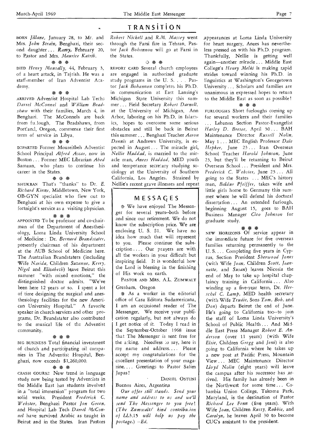# TRANSITION

BORN *Jillane,* January 28, to Mr. and Mrs. *John Strain,* Benghazi, their second daughter ... *Ramy,* February 20, to Pastor and Mrs. *Maurice Katrib.* 

### *\* \** \*

DIED *Henry Mousally,* 44, February 3, of a heart attack, in Tajrish. He was a staff-member of Iran Adventist Academy.

### \* \* \*

ARRIVED Adventist Hospital Lab Tech3 *Darrel McConnel* and *William Bradshaw* with their families, March 4, in Benghazi. The McConnels are back from fu-lough. The Bradshaws, from Portland, Oregon, commence their first term of service in Libya.

### \* \* \*

DCPARTED Former Mouseitbeh Adventist School Principal *Alfred Accar,* now in Boston ... Former MEC Librarian *Ahed*  Samaan, who plans to continue his career in the States.

### \* \* \*

SHUKRAN That's "thanks" to Dr. *E. Richard Kinne,* Middletown, New York, OB-GYN specialist who flew out to Benghazi at his own expense to give a fortnight's service as a visiting physician.

### \* \* \*

APPOINTED To be professor and co-chairman of the Department of Anesthesiology, Loma Linda University School of Medicine : Dr. *Bernard Brandstater,*  presently chairman of his department at the AUB School of Medicine here. The Australian Brandstaters (including Wife *Narida,* Children *Suzanne, Kerry, Nigel* and *Elizabeth)* leave Beirut this summer "with mixed emotions," the distinguished doctor admits. "We've been here 12 years or so. I spent a lot of time designing the surgical and anesthesiology facilities for the new American University Hospital." A favorite speaker in church services and other programs, Dr. Brandstater also contributed to the musical life of the Adventist community.

### \* \* \*

BIG BUSINESS Total financial investment of church and participating oil companies in The Adventist Hospital, Benghazi, now exceeds \$1,260,000.

### \* \* \*

CRASH COURSE New trend in language study now being tested by Adventists in the Middle East has students involved in ,a "total immersion" program for two solid weeks. President *Frederick C. Webster,* Benghazi Pastor *Jon Green,*  and Hospital Lab Tech *Darrel McConnel* have survived Arabic as taught in Beirut and in the States. Iran Pastors *Robert Nickell* And *R.M. Massey* went through the Farsi fire in Tehran. Pastor *Jack Bohannon will go* at Farsi in the States.

### \* \* \*

REPORT CARD Several church employees are engaged in authorized graduate study programs in the U. S. . . . Pastor *Jack Bohannon* completes his Ph.D. in communication at East Lansing's Michigan State University this summer ... Field Secretary *Robert Darnell,*  at the University of Michigan, Ann Arbor, laboring on his Ph.D. in Islamics, hopes to overcome some serious obstacles and still be back in Beirut this summer . .. Benghazi Teacher *Aaron Dennis* at Andrews University, is expected in August ... The miracle girl, *Nellie Haddad,* is married to the miracle man, *Anees Haddad,* MED youth and temperance secretary studying sociology at the University of Southern California, Los Angeles. Strained by Nellie's recent grave illnesses and repeat

### MESSAGES

We have enjoyed The Messenger for several years--both before and since our retirement. We do not know the subscription price. We are enclosing U. S. \$1. We have no idea how much that will represent to you. Please continue the subscription .... Our prayers are with all the workers in your difficult but inspiring field. It is wonderful how the Lord is blessing in the finishing of His work on earth.

PASTOR AND MRS, A.L. ZUMWALT Gresham, Oregon

\* As a worker in the editorial office of Casa Editora Sudamericana, I am an occasional reader of The Messenger. We receive your publication regularly, but not always do I get notice of it. Today I read in the September-October 1968 issue that The Messenger is sent free for the a:king. Needless to say, here is my name and address.... Please accept my congratulations for the excellent presentation of your magazine.... Greetings to Pastor Salim Japas!

DANIEL OSTUNI Buenos Aires, Argentina

*Our offer still stands. Send your name and address to us and we'll send The Messenger to you free! (The Zumivalts' kind contribu.ion of* LL3.15 *will help us pay the postage.) --Ed.* 

appearances at Loma Linda University for heart surgery, Anees has nevertheless pressed on with his Ph.D. program. Thankfully, Nellie is getting well again—another miracle ... Middle East College's *Henry Melki* is making rapid strides toward winning his Ph.D. in linguistics at Washington's Georgetown University ... Scholars and families are unanimous in expressed hopes to return to the Middle East as soon as possible !

### \* \*

FURLOUGHS Short furloughs coming up for several workers and their families ... Lebanon Section Pastor-Evangelist *Harley D. Bresee,* April 30... BAH Maintenance Director *Russell Nolin,*  May 1 ... MEC English Professor *Dale Hepker,* June 23 . . Iran Overseas School Teacher *Harold Johnson,* June 23, but they'll be returning to Beirut Overseas School ... President and Mrs. *Frederick C. Webster,* June 23 . . All going to the States ... MEC's history man, *Baldur Pfeiffer,* takes wife and little girls home to Germany this summer where he will defend his doctoral dissertation ... An extended furlough, beginning August 15, goes to BAH Business Manager *Cleo Johnson* for graduate study.

### \* \* \*

NEW HORIZONS Of service appear in the immediate future for five overseas families returning permanently to the U. S.... Completing five years in Cyprus, Section President *Sherwood Jones*  (with Wife *Joan,* Children *Scott, Jeannette,* and *Susan)* leaves Nicosia the end of May to take up hospital chaplaincy training in California ... Also winding up a five-year term, Dr. *Herschel C. Lamp,* MED health secretary (with Wife *Trudie,* Sons *Tom, Bob,* and *Don)* departs Beirut the end of June. He's going to California too--to join the staff of Loma Linda University's School of Public Health ... And Middle East Press Manager *Robert E. Anderson* (over 11 years) (with Wife *Elsie,* Children *Gregg* and *Joni)* is also going to California where he takes up a new post at Pacific Press, Mountain View ... MEC Maintenance Director *Lloyd Nolin* (eight years) will leave the campus after his successor has arrived. His family has already been in the Northwest for some time ... Columbia Union College, Takoma Park, Maryland, is the destination of Pastor *Richard Lee Fenn* (five years). With Wife *Joan,* Children *Rusty, Robbie,* and *Carolyn,* he leaves April 30 to become CUC's assistant to the president.